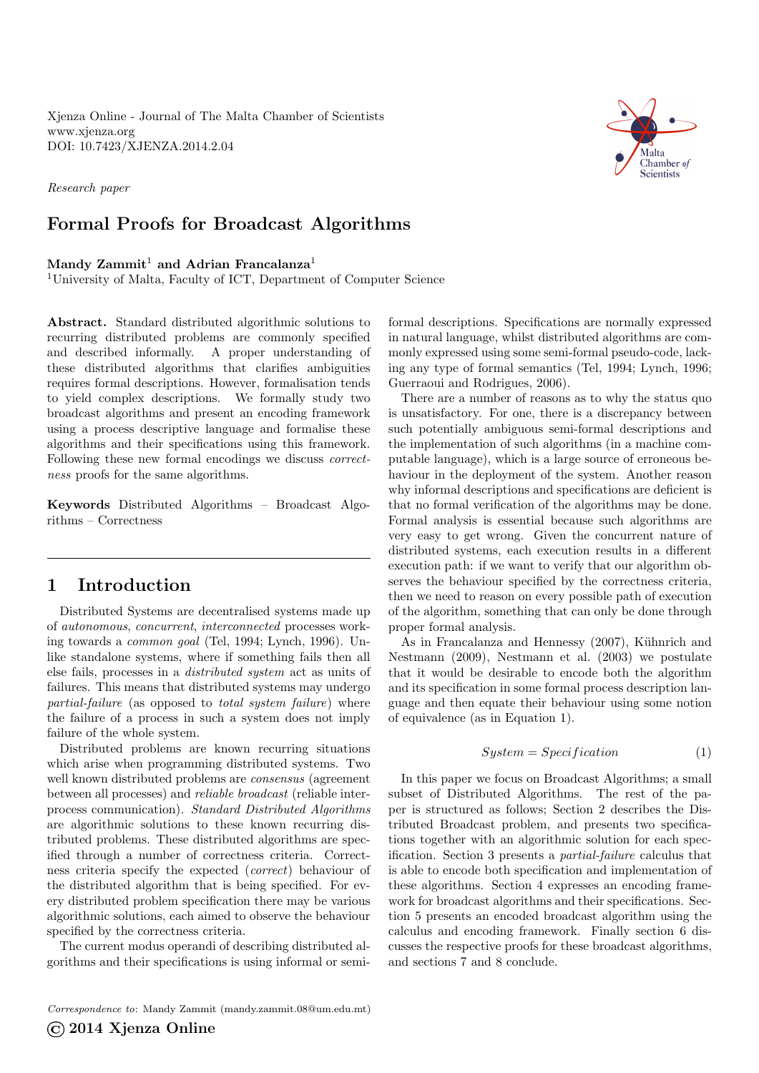Xjenza Online - Journal of The Malta Chamber of Scientists <www.xjenza.org> DOI:<10.7423/XJENZA.2014.2.04>

Research paper

# Formal Proofs for Broadcast Algorithms

## Mandy  $Zammit^1$  and Adrian Francalanza<sup>1</sup>

<sup>1</sup>University of Malta, Faculty of ICT, Department of Computer Science

Abstract. Standard distributed algorithmic solutions to recurring distributed problems are commonly specified and described informally. A proper understanding of these distributed algorithms that clarifies ambiguities requires formal descriptions. However, formalisation tends to yield complex descriptions. We formally study two broadcast algorithms and present an encoding framework using a process descriptive language and formalise these algorithms and their specifications using this framework. Following these new formal encodings we discuss correctness proofs for the same algorithms.

Keywords Distributed Algorithms – Broadcast Algorithms – Correctness

# 1 Introduction

Distributed Systems are decentralised systems made up of autonomous, concurrent, interconnected processes working towards a common goal (Tel, [1994;](#page-6-0) Lynch, [1996\)](#page-6-1). Unlike standalone systems, where if something fails then all else fails, processes in a distributed system act as units of failures. This means that distributed systems may undergo partial-failure (as opposed to total system failure) where the failure of a process in such a system does not imply failure of the whole system.

Distributed problems are known recurring situations which arise when programming distributed systems. Two well known distributed problems are *consensus* (agreement between all processes) and reliable broadcast (reliable interprocess communication). Standard Distributed Algorithms are algorithmic solutions to these known recurring distributed problems. These distributed algorithms are specified through a number of correctness criteria. Correctness criteria specify the expected (correct) behaviour of the distributed algorithm that is being specified. For every distributed problem specification there may be various algorithmic solutions, each aimed to observe the behaviour specified by the correctness criteria.

The current modus operandi of describing distributed algorithms and their specifications is using informal or semi-

formal descriptions. Specifications are normally expressed in natural language, whilst distributed algorithms are commonly expressed using some semi-formal pseudo-code, lacking any type of formal semantics (Tel, [1994;](#page-6-0) Lynch, [1996;](#page-6-1) Guerraoui and Rodrigues, [2006\)](#page-6-2).

There are a number of reasons as to why the status quo is unsatisfactory. For one, there is a discrepancy between such potentially ambiguous semi-formal descriptions and the implementation of such algorithms (in a machine computable language), which is a large source of erroneous behaviour in the deployment of the system. Another reason why informal descriptions and specifications are deficient is that no formal verification of the algorithms may be done. Formal analysis is essential because such algorithms are very easy to get wrong. Given the concurrent nature of distributed systems, each execution results in a different execution path: if we want to verify that our algorithm observes the behaviour specified by the correctness criteria, then we need to reason on every possible path of execution of the algorithm, something that can only be done through proper formal analysis.

As in Francalanza and Hennessy [\(2007\)](#page-6-3), Kühnrich and Nestmann [\(2009\)](#page-6-4), Nestmann et al. [\(2003\)](#page-6-5) we postulate that it would be desirable to encode both the algorithm and its specification in some formal process description language and then equate their behaviour using some notion of equivalence (as in Equation [1\)](#page-0-0).

$$
System = Specification
$$
 (1)

<span id="page-0-1"></span><span id="page-0-0"></span>In this paper we focus on Broadcast Algorithms; a small subset of Distributed Algorithms. The rest of the paper is structured as follows; Section [2](#page-0-1) describes the Distributed Broadcast problem, and presents two specifications together with an algorithmic solution for each specification. Section [3](#page-2-0) presents a partial-failure calculus that is able to encode both specification and implementation of these algorithms. Section [4](#page-2-1) expresses an encoding framework for broadcast algorithms and their specifications. Section [5](#page-4-0) presents an encoded broadcast algorithm using the calculus and encoding framework. Finally section [6](#page-5-0) discusses the respective proofs for these broadcast algorithms, and sections [7](#page-6-6) and [8](#page-6-7) conclude.

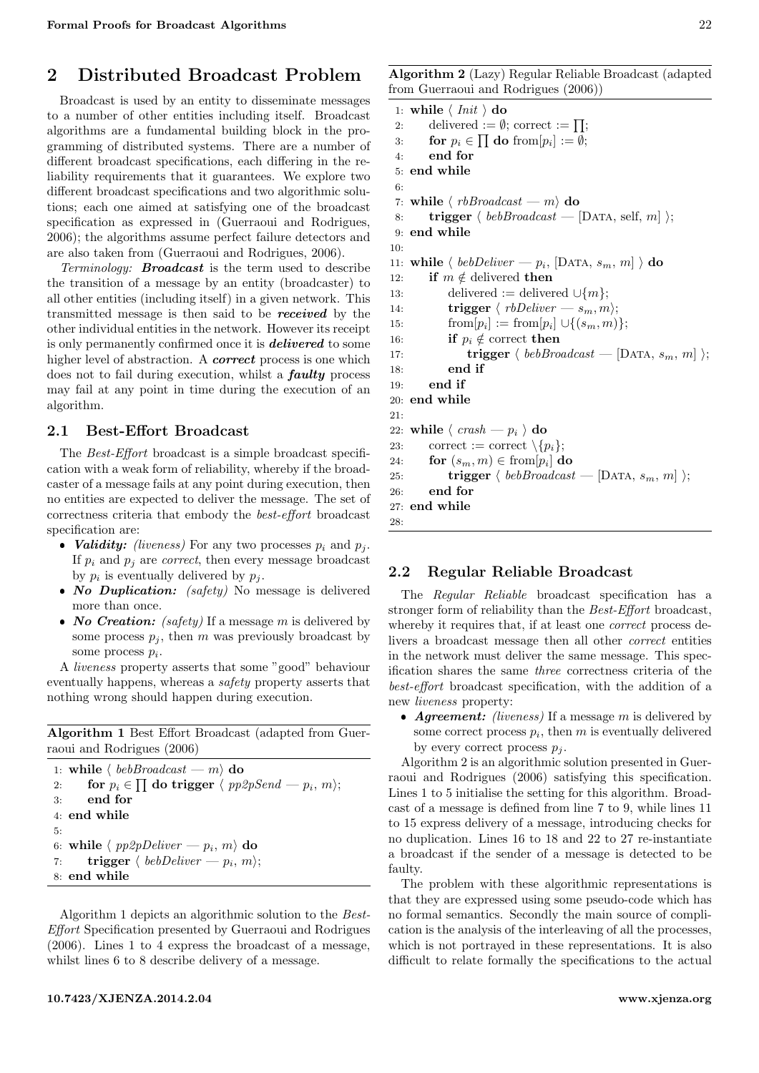# 2 Distributed Broadcast Problem

Broadcast is used by an entity to disseminate messages to a number of other entities including itself. Broadcast algorithms are a fundamental building block in the programming of distributed systems. There are a number of different broadcast specifications, each differing in the reliability requirements that it guarantees. We explore two different broadcast specifications and two algorithmic solutions; each one aimed at satisfying one of the broadcast specification as expressed in (Guerraoui and Rodrigues, [2006\)](#page-6-2); the algorithms assume perfect failure detectors and are also taken from (Guerraoui and Rodrigues, [2006\)](#page-6-2).

Terminology: Broadcast is the term used to describe the transition of a message by an entity (broadcaster) to all other entities (including itself) in a given network. This transmitted message is then said to be received by the other individual entities in the network. However its receipt is only permanently confirmed once it is delivered to some higher level of abstraction. A *correct* process is one which does not to fail during execution, whilst a faulty process may fail at any point in time during the execution of an algorithm.

### 2.1 Best-Effort Broadcast

The Best-Effort broadcast is a simple broadcast specification with a weak form of reliability, whereby if the broadcaster of a message fails at any point during execution, then no entities are expected to deliver the message. The set of correctness criteria that embody the best-effort broadcast specification are:

- Validity: (liveness) For any two processes  $p_i$  and  $p_j$ . If  $p_i$  and  $p_j$  are *correct*, then every message broadcast by  $p_i$  is eventually delivered by  $p_j$ .
- No Duplication: (safety) No message is delivered more than once.
- No Creation: (safety) If a message  $m$  is delivered by some process  $p_i$ , then m was previously broadcast by some process  $p_i$ .

A liveness property asserts that some "good" behaviour eventually happens, whereas a safety property asserts that nothing wrong should happen during execution.

<span id="page-1-0"></span>Algorithm 1 Best Effort Broadcast (adapted from Guerraoui and Rodrigues [\(2006\)](#page-6-2)

```
1: while \langle \; \mathit{beb} \mathit{Broadcast} \; - \; m \rangle do
2: for p_i \in \prod do trigger \langle pp2pSend - p_i, m \rangle;3: end for
4: end while
5:
6: while h pp2pDeliver — pi
, mi do
\tau: \qquad \mathbf{trigger} \; \langle \; \textit{bebDeliver} \; \textcolor{red}{\boldsymbol{-}} \; \textit{p}_i, \, \textit{m} \rangle;8: end while
```
Algorithm [1](#page-1-0) depicts an algorithmic solution to the Best-Effort Specification presented by Guerraoui and Rodrigues [\(2006\)](#page-6-2). Lines 1 to 4 express the broadcast of a message, whilst lines 6 to 8 describe delivery of a message.

<span id="page-1-1"></span>Algorithm 2 (Lazy) Regular Reliable Broadcast (adapted from Guerraoui and Rodrigues [\(2006\)](#page-6-2))

```
1: while \langle Init \rangle do
 2: delivered := \emptyset; correct := \prod;
 3: for p_i \in \prod do from [p_i] := \emptyset;
 4: end for
 5: end while
 6:
 7: while \langle r\text{b}B \text{roadcast} \rangle do
 8: trigger \langle \; \text{beb} \text{Broadcast} \; - \; [\text{DATA}, \text{self}, \, m] \; \rangle;9: end while
10:
11: while \langle \; \text{beb} \text{Deliver} - p_i, [\text{DATA}, s_m, m] \; \rangle do
12: if m \notin delivered then
13: delivered := delivered ∪\{m\};
14: trigger \langle \text{rbDeliver} \, - \, s_m, m \rangle;15: \text{from}[p_i] := \text{from}[p_i] \cup \{(s_m, m)\};16: if p_i \notin \text{correct} then
17: trigger \langle \text{ } bebBroadcast - [DATA, s_m, m] \rangle;18: end if
19: end if
20: end while
21.22: while \langle \text{ crash} - p_i \rangle do
23: correct := correct \{p_i\};24: for (s_m, m) \in \text{from}[p_i] do
25: trigger \langle \; \text{beb} \text{Broadcast} \; -[\text{DATA}, \, s_m, \, m] \; \rangle;26: end for
27: end while
28:
```
## 2.2 Regular Reliable Broadcast

The Regular Reliable broadcast specification has a stronger form of reliability than the Best-Effort broadcast, whereby it requires that, if at least one *correct* process delivers a broadcast message then all other correct entities in the network must deliver the same message. This specification shares the same three correctness criteria of the best-effort broadcast specification, with the addition of a new liveness property:

• Agreement: (liveness) If a message  $m$  is delivered by some correct process  $p_i$ , then  $m$  is eventually delivered by every correct process  $p_i$ .

Algorithm [2](#page-1-1) is an algorithmic solution presented in Guerraoui and Rodrigues [\(2006\)](#page-6-2) satisfying this specification. Lines 1 to 5 initialise the setting for this algorithm. Broadcast of a message is defined from line 7 to 9, while lines 11 to 15 express delivery of a message, introducing checks for no duplication. Lines 16 to 18 and 22 to 27 re-instantiate a broadcast if the sender of a message is detected to be faulty.

The problem with these algorithmic representations is that they are expressed using some pseudo-code which has no formal semantics. Secondly the main source of complication is the analysis of the interleaving of all the processes, which is not portrayed in these representations. It is also difficult to relate formally the specifications to the actual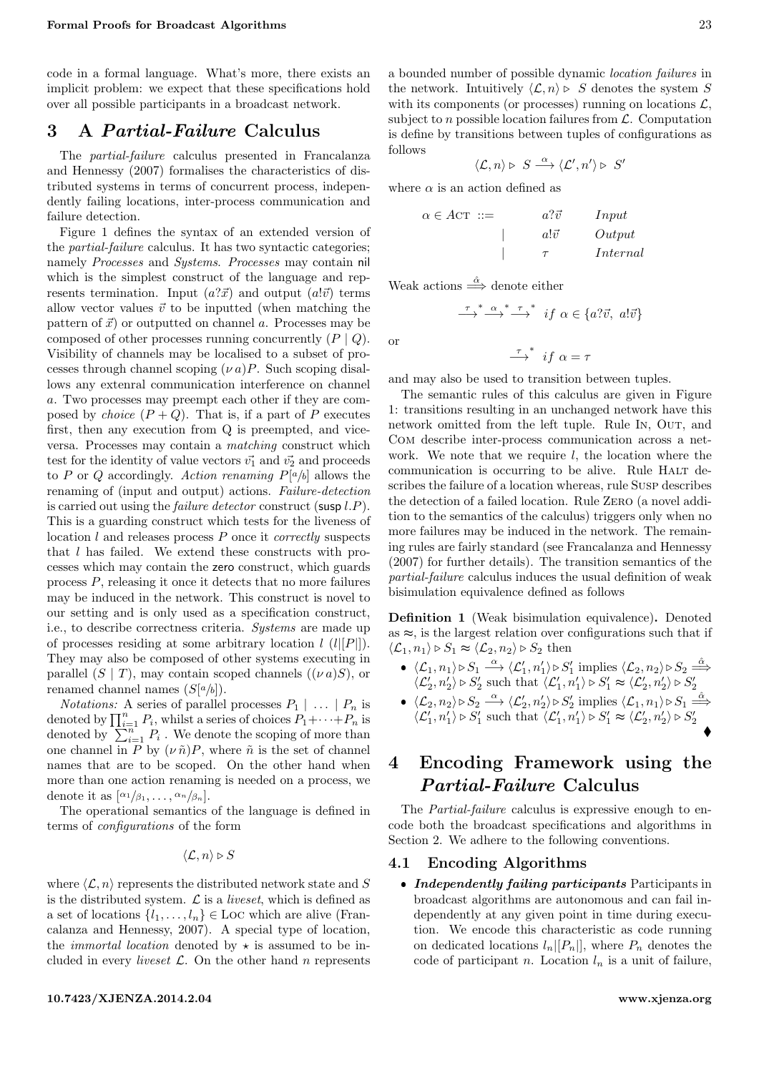code in a formal language. What's more, there exists an implicit problem: we expect that these specifications hold over all possible participants in a broadcast network.

# <span id="page-2-0"></span>3 A Partial-Failure Calculus

The partial-failure calculus presented in Francalanza and Hennessy [\(2007\)](#page-6-3) formalises the characteristics of distributed systems in terms of concurrent process, independently failing locations, inter-process communication and failure detection.

Figure [1](#page-3-0) defines the syntax of an extended version of the partial-failure calculus. It has two syntactic categories; namely Processes and Systems. Processes may contain nil which is the simplest construct of the language and represents termination. Input  $(a?\vec{x})$  and output  $(a!\vec{v})$  terms allow vector values  $\vec{v}$  to be inputted (when matching the pattern of  $\vec{x}$  or outputted on channel a. Processes may be composed of other processes running concurrently  $(P | Q)$ . Visibility of channels may be localised to a subset of processes through channel scoping  $(\nu a)P$ . Such scoping disallows any extenral communication interference on channel a. Two processes may preempt each other if they are composed by *choice*  $(P + Q)$ . That is, if a part of P executes first, then any execution from Q is preempted, and viceversa. Processes may contain a matching construct which test for the identity of value vectors  $\vec{v_1}$  and  $\vec{v_2}$  and proceeds to P or Q accordingly. Action renaming  $P[a/b]$  allows the renaming of (input and output) actions. Failure-detection is carried out using the *failure detector* construct (susp  $l.P$ ). This is a guarding construct which tests for the liveness of location  $l$  and releases process  $P$  once it *correctly* suspects that l has failed. We extend these constructs with processes which may contain the zero construct, which guards process P, releasing it once it detects that no more failures may be induced in the network. This construct is novel to our setting and is only used as a specification construct, i.e., to describe correctness criteria. Systems are made up of processes residing at some arbitrary location  $l$  ( $l[[P]]$ ). They may also be composed of other systems executing in parallel  $(S | T)$ , may contain scoped channels  $((\nu a)S)$ , or renamed channel names  $(S[a/b])$ .

*Notations:* A series of parallel processes  $P_1 \mid \ldots \mid P_n$  is denoted by  $\prod_{i=1}^{n} P_i$ , whilst a series of choices  $P_1 + \cdots + P_n$  is denoted by  $\sum_{i=1}^{n} P_i$ . We denote the scoping of more than one channel in P by  $(\nu \tilde{n})P$ , where  $\tilde{n}$  is the set of channel names that are to be scoped. On the other hand when more than one action renaming is needed on a process, we denote it as  $\left[\alpha_1/\beta_1,\ldots,\alpha_n/\beta_n\right]$ .

The operational semantics of the language is defined in terms of configurations of the form

$$
\langle \mathcal{L}, n \rangle \triangleright S
$$

where  $\langle \mathcal{L}, n \rangle$  represents the distributed network state and S is the distributed system.  $\mathcal{L}$  is a *liveset*, which is defined as a set of locations  $\{l_1, \ldots, l_n\} \in \text{Loc}$  which are alive (Francalanza and Hennessy, [2007\)](#page-6-3). A special type of location, the *immortal location* denoted by  $\star$  is assumed to be included in every *liveset*  $\mathcal{L}$ . On the other hand *n* represents

#### <10.7423/XJENZA.2014.2.04> <www.xjenza.org>

a bounded number of possible dynamic location failures in the network. Intuitively  $\langle \mathcal{L}, n \rangle \triangleright S$  denotes the system S with its components (or processes) running on locations  $\mathcal{L}$ , subject to *n* possible location failures from  $\mathcal{L}$ . Computation is define by transitions between tuples of configurations as follows

$$
\langle \mathcal{L}, n \rangle \triangleright S \stackrel{\alpha}{\longrightarrow} \langle \mathcal{L}', n' \rangle \triangleright S'
$$

where  $\alpha$  is an action defined as

| $\alpha \in ACT$ ::= | $a? \vec{v}$ | Input    |
|----------------------|--------------|----------|
|                      | $a!\vec{v}$  | Output   |
|                      |              | Internal |

Weak actions  $\stackrel{\hat{\alpha}}{\Longrightarrow}$  denote either

$$
\xrightarrow{\tau}^* \xrightarrow{\alpha}^* \xrightarrow{\tau}^* \quad \text{if } \alpha \in \{a? \vec{v}, \ a!\vec{.}\vec{v}\}
$$

 $\overrightarrow{f}$  if  $\alpha = \tau$ 

or

and may also be used to transition between tuples.

The semantic rules of this calculus are given in Figure [1:](#page-3-0) transitions resulting in an unchanged network have this network omitted from the left tuple. Rule IN, OUT, and Com describe inter-process communication across a network. We note that we require  $l$ , the location where the communication is occurring to be alive. Rule HALT describes the failure of a location whereas, rule Susp describes the detection of a failed location. Rule Zero (a novel addition to the semantics of the calculus) triggers only when no more failures may be induced in the network. The remaining rules are fairly standard (see Francalanza and Hennessy [\(2007\)](#page-6-3) for further details). The transition semantics of the partial-failure calculus induces the usual definition of weak bisimulation equivalence defined as follows

<span id="page-2-2"></span>Definition 1 (Weak bisimulation equivalence). Denoted as  $\approx$ , is the largest relation over configurations such that if  $\langle \mathcal{L}_1, n_1 \rangle \triangleright S_1 \approx \langle \mathcal{L}_2, n_2 \rangle \triangleright S_2$  then

•  $\langle \mathcal{L}_1, n_1 \rangle \triangleright S_1 \stackrel{\alpha}{\longrightarrow} \langle \mathcal{L}_1', n_1' \rangle \triangleright S_1'$  implies  $\langle \mathcal{L}_2, n_2 \rangle \triangleright S_2 \stackrel{\hat{\alpha}}{\Longrightarrow}$  $\langle \mathcal{L}'_2, n'_2 \rangle \triangleright S'_2$  such that  $\langle \mathcal{L}'_1, n'_1 \rangle \triangleright S'_1 \approx \langle \mathcal{L}'_2, n'_2 \rangle \triangleright S'_2$ •  $\langle \mathcal{L}_2, n_2 \rangle \triangleright S_2 \stackrel{\alpha}{\longrightarrow} \langle \mathcal{L}_2', n_2' \rangle \triangleright S_2'$  implies  $\langle \mathcal{L}_1, n_1 \rangle \triangleright S_1 \stackrel{\hat{\alpha}}{\Longrightarrow}$  $\langle \mathcal{L}'_1, n'_1 \rangle \triangleright S'_1$  such that  $\langle \mathcal{L}'_1, n'_1 \rangle \triangleright S'_1 \approx \langle \mathcal{L}'_2, n'_2 \rangle \triangleright S'_2$ 

# <span id="page-2-1"></span>4 Encoding Framework using the Partial-Failure Calculus

The Partial-failure calculus is expressive enough to encode both the broadcast specifications and algorithms in Section [2.](#page-0-1) We adhere to the following conventions.

### 4.1 Encoding Algorithms

• Independently failing participants Participants in broadcast algorithms are autonomous and can fail independently at any given point in time during execution. We encode this characteristic as code running on dedicated locations  $l_n|[P_n|]$ , where  $P_n$  denotes the code of participant n. Location  $l_n$  is a unit of failure,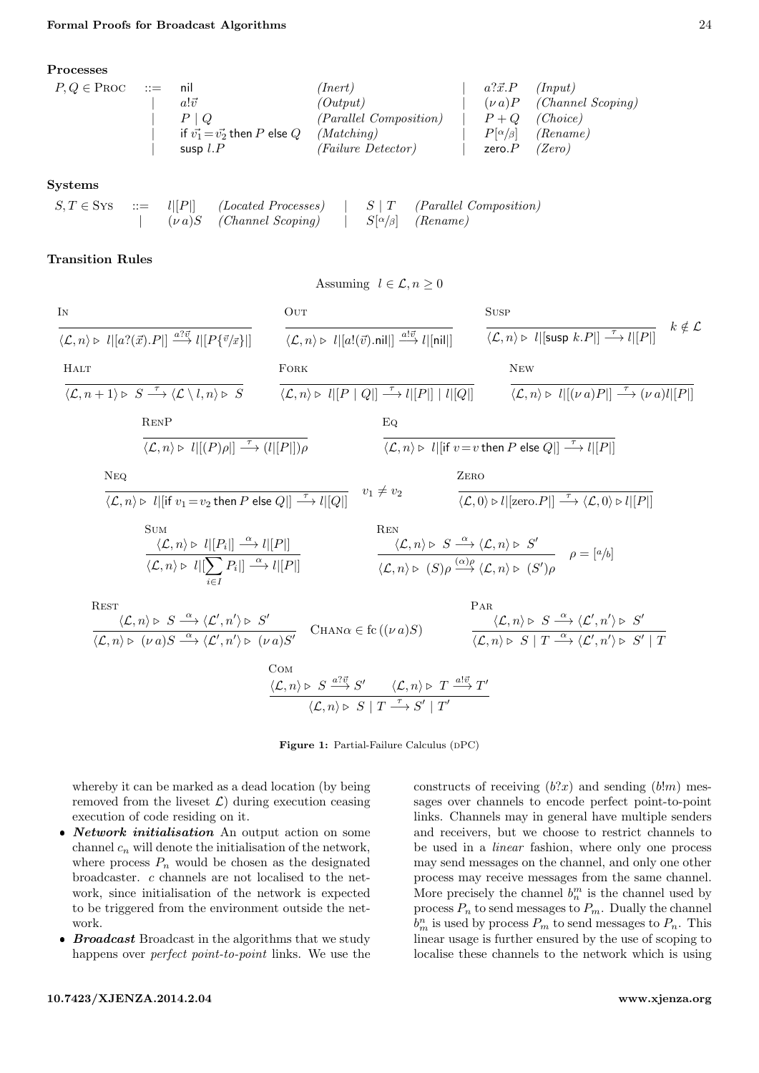<span id="page-3-0"></span>Processes

$$
P,Q \in \text{PROC} \quad ::= \quad \text{nil} \quad (\text{Inert}) \quad | \quad a? \vec{x}.P \quad (\text{Input})
$$
\n
$$
P \mid Q \quad (\text{Output}) \quad (\text{Output}) \quad | \quad (v \text{ a})P \quad (\text{Channel Scoping})
$$
\n
$$
= \quad \text{if } v_1^1 = v_2^2 \text{ then } P \text{ else } Q \quad (\text{Matching}) \quad | \quad P + Q \quad (\text{Choice})
$$
\n
$$
= \quad \text{sup } l.P \quad (\text{Failure Detection}) \quad |\quad P[\alpha/\beta] \quad (\text{Rename})
$$
\n
$$
= \quad \text{sup } l.P \quad (\text{Failure Detection}) \quad |\quad \text{zero}.P \quad (\text{Zero})
$$

#### Systems

|  |                                                                                                         |  | $S, T \in \text{SYS}$ ::= $l  P  $ (Located Processes)   S   T (Parallel Composition) |
|--|---------------------------------------------------------------------------------------------------------|--|---------------------------------------------------------------------------------------|
|  | $\vert \qquad (\nu \, a)S \quad (Channel \ Scoping) \qquad \vert \qquad S[\alpha/\beta] \quad (Rename)$ |  |                                                                                       |

## Transition Rules

$$
\frac{\text{IN}}{\langle \mathcal{L}, n \rangle \triangleright l | [a?(\vec{x}).P] | \stackrel{a?(\vec{x})}{\longrightarrow} l | [P{\vec{v}/\vec{x}}] |}
$$
\n
$$
\frac{\text{Our} \quad \frac{\text{SUSP}}{\langle \mathcal{L}, n \rangle \triangleright l | [a!(\vec{v}).\text{nil}] | \stackrel{a?(\vec{x})}{\longrightarrow} l | [n|n] |}
$$
\n
$$
\frac{\text{SUSP}}{\langle \mathcal{L}, n \rangle \triangleright l | [SUSP k.P]|} \stackrel{F}{\longrightarrow} l | [P] | [P] | [Q] \stackrel{\tau}{\longrightarrow} l | [P] | [Q] |
$$
\n
$$
\frac{\text{NEW}}{\langle \mathcal{L}, n \rangle \triangleright l | [(\nu a)P]|} \stackrel{\tau}{\longrightarrow} (\nu a)l | [P]
$$
\n
$$
\frac{\text{RENP}}{\langle \mathcal{L}, n \rangle \triangleright l | [(P)\rho]|} \stackrel{\tau}{\longrightarrow} (l | [P]])\rho
$$
\n
$$
\frac{\text{Eq}}{\langle \mathcal{L}, n \rangle \triangleright l | [i \ v_1 = v_2 \text{ then } P \text{ else } Q] |} \stackrel{\tau}{\longrightarrow} l | [Q] |
$$
\n
$$
\frac{\text{SUSP}}{\langle \mathcal{L}, n \rangle \triangleright l | [i \ v_1 = v_2 \text{ then } P \text{ else } Q] |} \stackrel{\tau}{\longrightarrow} l | [Q] |
$$
\n
$$
\frac{\text{EQ}}{\langle \mathcal{L}, n \rangle \triangleright l | [2\pi v_1] \stackrel{\tau}{\longrightarrow} l | [Q] |}
$$
\n
$$
\frac{\text{SUSP}}{\langle \mathcal{L}, n \rangle \triangleright l | [2\pi v_1] \stackrel{\tau}{\longrightarrow} l | [Q] |}
$$
\n
$$
\frac{\text{EQ}}{\langle \mathcal{L}, n \rangle \triangleright l | [2\pi v_1] \stackrel{\tau}{\longrightarrow} l | [Q] |}
$$
\n
$$
\frac{\text{EQ}}{\langle \mathcal{L}, n \rangle \triangleright l | [2\pi v_1] \stackrel{\tau}{\longrightarrow} l | [Q] |}
$$
\n
$$
\frac{\text{EEN}}{\langle \mathcal{L}, n \rangle \triangleright l | [2
$$

Assuming  $l \in \mathcal{L}, n \geq 0$ 

Figure 1: Partial-Failure Calculus (DPC)

whereby it can be marked as a dead location (by being removed from the liveset  $\mathcal{L}$ ) during execution ceasing execution of code residing on it.

- Network initialisation An output action on some channel  $c_n$  will denote the initialisation of the network, where process  $P_n$  would be chosen as the designated broadcaster. c channels are not localised to the network, since initialisation of the network is expected to be triggered from the environment outside the network.
- $\bullet$  **Broadcast** Broadcast in the algorithms that we study happens over perfect point-to-point links. We use the

constructs of receiving  $(b?x)$  and sending  $(b!m)$  messages over channels to encode perfect point-to-point links. Channels may in general have multiple senders and receivers, but we choose to restrict channels to be used in a linear fashion, where only one process may send messages on the channel, and only one other process may receive messages from the same channel. More precisely the channel  $b_n^m$  is the channel used by process  $\mathcal{P}_n$  to send messages to  $\mathcal{P}_m.$  Dually the channel  $b_m^n$  is used by process  $P_m$  to send messages to  $P_n$ . This linear usage is further ensured by the use of scoping to localise these channels to the network which is using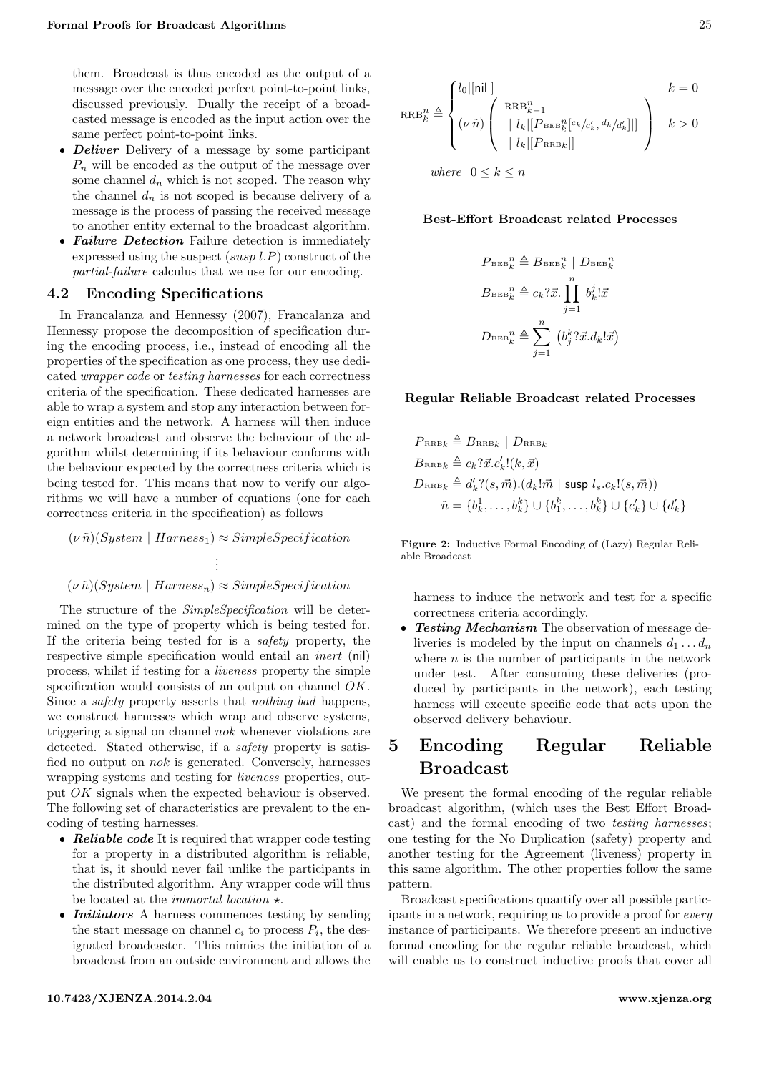them. Broadcast is thus encoded as the output of a message over the encoded perfect point-to-point links, discussed previously. Dually the receipt of a broadcasted message is encoded as the input action over the same perfect point-to-point links.

- $\bullet$  *Deliver* Delivery of a message by some participant  $P_n$  will be encoded as the output of the message over some channel  $d_n$  which is not scoped. The reason why the channel  $d_n$  is not scoped is because delivery of a message is the process of passing the received message to another entity external to the broadcast algorithm.
- $\bullet$  Failure Detection Failure detection is immediately expressed using the suspect  $(susp l.P)$  construct of the partial-failure calculus that we use for our encoding.

## 4.2 Encoding Specifications

In Francalanza and Hennessy [\(2007\)](#page-6-3), Francalanza and Hennessy propose the decomposition of specification during the encoding process, i.e., instead of encoding all the properties of the specification as one process, they use dedicated wrapper code or testing harnesses for each correctness criteria of the specification. These dedicated harnesses are able to wrap a system and stop any interaction between foreign entities and the network. A harness will then induce a network broadcast and observe the behaviour of the algorithm whilst determining if its behaviour conforms with the behaviour expected by the correctness criteria which is being tested for. This means that now to verify our algorithms we will have a number of equations (one for each correctness criteria in the specification) as follows

 $(\nu \tilde{n})(System \mid Harness_1) \approx SimpleSpecification$ . . .  $(\nu \tilde{n})(System \mid Harness_n) \approx SimpleSpecification$ 

The structure of the  $SimpleSpecification$  will be determined on the type of property which is being tested for. If the criteria being tested for is a safety property, the respective simple specification would entail an inert (nil) process, whilst if testing for a liveness property the simple specification would consists of an output on channel OK. Since a safety property asserts that nothing bad happens, we construct harnesses which wrap and observe systems, triggering a signal on channel nok whenever violations are detected. Stated otherwise, if a *safety* property is satisfied no output on nok is generated. Conversely, harnesses wrapping systems and testing for liveness properties, output OK signals when the expected behaviour is observed. The following set of characteristics are prevalent to the encoding of testing harnesses.

- $\bullet$  Reliable code It is required that wrapper code testing for a property in a distributed algorithm is reliable, that is, it should never fail unlike the participants in the distributed algorithm. Any wrapper code will thus be located at the *immortal location*  $\star$ .
- *Initiators* A harness commences testing by sending the start message on channel  $c_i$  to process  $P_i$ , the designated broadcaster. This mimics the initiation of a broadcast from an outside environment and allows the

$$
10.7423/\text{XJENZA}.2014.2.04
$$

<span id="page-4-1"></span>
$$
RRB_k^n \triangleq \begin{cases} l_0|[ni]| & k=0\\ (\nu \tilde{n}) \left( \begin{array}{c} RRB_{k-1}^n \\ |l_k|[P_{\rm BEB_k^n}[c_k/c_k', d_k/d_k']|] \\ |l_k|[P_{\rm RRB_k}|] \end{array} \right) & k>0 \end{cases}
$$

where  $0 \leq k \leq n$ 

#### Best-Effort Broadcast related Processes

$$
P_{\text{beb}}^n_k \triangleq B_{\text{beb}}^n | D_{\text{beb}}^n_k
$$
  

$$
B_{\text{beb}}^n_k \triangleq c_k ? \vec{x} \cdot \prod_{j=1}^n b_k^j ! \vec{x}
$$
  

$$
D_{\text{beb}}^n_k \triangleq \sum_{j=1}^n (b_j^k ? \vec{x} . d_k ! \vec{x})
$$

### Regular Reliable Broadcast related Processes

$$
P_{\text{RRB}_k} \triangleq B_{\text{RRB}_k} | D_{\text{RRB}_k}
$$
  
\n
$$
B_{\text{RRB}_k} \triangleq c_k ? \vec{x}. c'_k ! (k, \vec{x})
$$
  
\n
$$
D_{\text{RRB}_k} \triangleq d'_k ? (s, \vec{m}). (d_k ! \vec{m} | \text{susp } l_s.c_k ! (s, \vec{m}))
$$
  
\n
$$
\tilde{n} = \{b_k^1, \dots, b_k^k\} \cup \{b_1^k, \dots, b_k^k\} \cup \{c'_k\} \cup \{d'_k\}
$$

Figure 2: Inductive Formal Encoding of (Lazy) Regular Reliable Broadcast

harness to induce the network and test for a specific correctness criteria accordingly.

 $\bullet$  Testing Mechanism The observation of message deliveries is modeled by the input on channels  $d_1 \ldots d_n$ where  $n$  is the number of participants in the network under test. After consuming these deliveries (produced by participants in the network), each testing harness will execute specific code that acts upon the observed delivery behaviour.

# <span id="page-4-0"></span>5 Encoding Regular Reliable Broadcast

We present the formal encoding of the regular reliable broadcast algorithm, (which uses the Best Effort Broadcast) and the formal encoding of two testing harnesses; one testing for the No Duplication (safety) property and another testing for the Agreement (liveness) property in this same algorithm. The other properties follow the same pattern.

Broadcast specifications quantify over all possible participants in a network, requiring us to provide a proof for every instance of participants. We therefore present an inductive formal encoding for the regular reliable broadcast, which will enable us to construct inductive proofs that cover all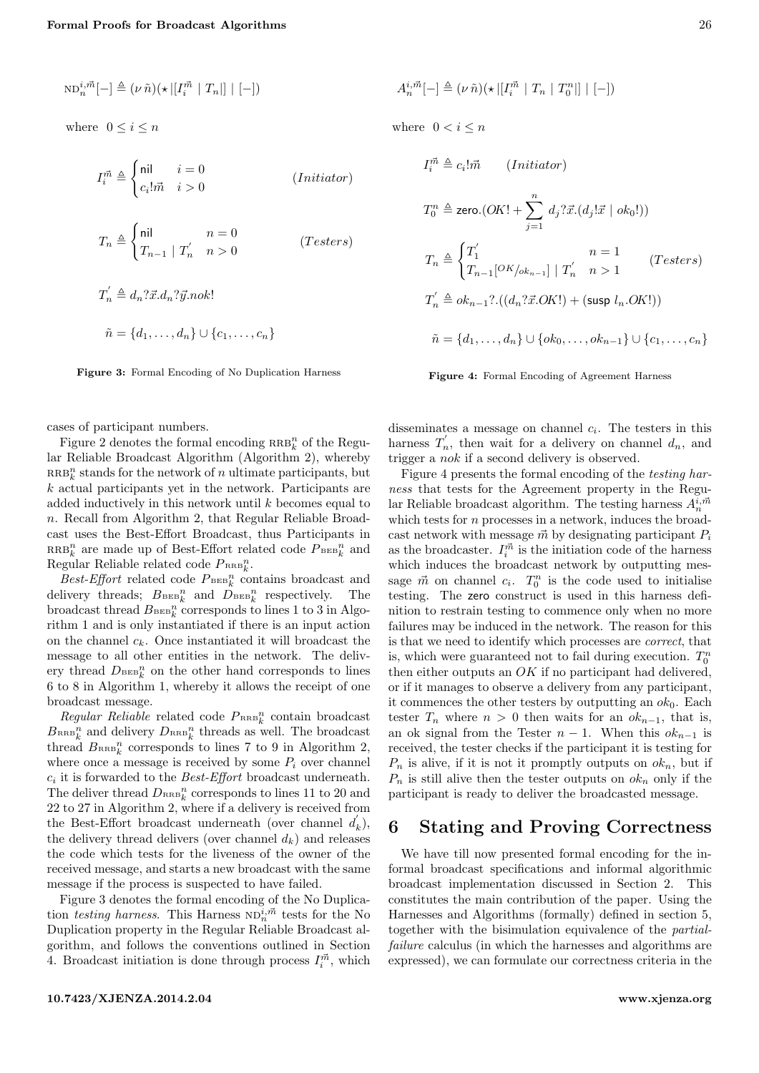<span id="page-5-1"></span>
$$
\mathrm{ND}^{i,\vec{m}}_n[-]\triangleq (\nu\,\tilde{n})(\star|[I^{\vec{m}}_i\mid T_n|]\mid [-])
$$

where  $0 \leq i \leq n$ 

$$
I_i^{\vec{m}} \triangleq \begin{cases} \n\text{nil} & i = 0 \\ \nc_i! \vec{m} & i > 0 \n\end{cases} \tag{Initiator}
$$

$$
T_n \triangleq \begin{cases} \text{nil} & n = 0\\ T_{n-1} \mid T'_n & n > 0 \end{cases} \tag{Testers}
$$

$$
T'_n \triangleq d_n? \vec{x}.d_n? \vec{y}.nok!
$$
  

$$
\tilde{n} = \{d_1, \dots, d_n\} \cup \{c_1, \dots, c_n\}
$$

Figure 3: Formal Encoding of No Duplication Harness

cases of participant numbers.

Figure [2](#page-4-1) denotes the formal encoding  $\mathtt{RRB}^n_k$  of the Regular Reliable Broadcast Algorithm (Algorithm [2\)](#page-1-1), whereby  $RRB_k^n$  stands for the network of n ultimate participants, but k actual participants yet in the network. Participants are added inductively in this network until  $k$  becomes equal to n. Recall from Algorithm [2,](#page-1-1) that Regular Reliable Broadcast uses the Best-Effort Broadcast, thus Participants in  $\mathtt{RRB}^n_k$  are made up of Best-Effort related code  $P_{\mathtt{BEB}^n_k}$  and Regular Reliable related code  $P_{RRB_k^n}$ .

Best-Effort related code  $P_{\text{BEB}_k^n}$  contains broadcast and delivery threads;  $B_{\text{BEB}_k^n}$  and  $D_{\text{BEB}_k^n}$  respectively. The broadcast thread  $B_{\text{BB}_k^n}$  corresponds to lines 1 to 3 in Algorithm [1](#page-1-0) and is only instantiated if there is an input action on the channel  $c_k$ . Once instantiated it will broadcast the message to all other entities in the network. The delivery thread  $D_{\text{BEB}_k^n}$  on the other hand corresponds to lines 6 to 8 in Algorithm [1,](#page-1-0) whereby it allows the receipt of one broadcast message.

 $Regular\ Reliable$  related code  $P_{RRB_k^n}$  contain broadcast  $B_{\text{RRB}_k^n}$  and delivery  $D_{\text{RRB}_k^n}$  threads as well. The broadcast thread  $B_{\text{RRB}_k^n}$  corresponds to lines 7 to 9 in Algorithm [2,](#page-1-1) where once a message is received by some  $P_i$  over channel  $c_i$  it is forwarded to the *Best-Effort* broadcast underneath. The deliver thread  $D_{\text{RRB}_k^n}$  corresponds to lines 11 to 20 and 22 to 27 in Algorithm [2,](#page-1-1) where if a delivery is received from the Best-Effort broadcast underneath (over channel  $d'_k$ ), the delivery thread delivers (over channel  $d_k$ ) and releases the code which tests for the liveness of the owner of the received message, and starts a new broadcast with the same message if the process is suspected to have failed.

Figure [3](#page-5-1) denotes the formal encoding of the No Duplication *testing harness*. This Harness  $ND_n^{i,\vec{m}}$  tests for the No Duplication property in the Regular Reliable Broadcast algorithm, and follows the conventions outlined in Section [4.](#page-2-1) Broadcast initiation is done through process  $I_i^{\vec{m}}$ , which

<span id="page-5-2"></span>
$$
A_n^{i,\vec{m}}[-] \triangleq (\nu \,\tilde{n})(\star |[I_i^{\vec{m}} \mid T_n \mid T_0^n|] \mid [-])
$$

where  $0 < i \leq n$ 

$$
I_i^{\vec{m}} \triangleq c_i! \vec{m} \qquad (Initiator)
$$
  
\n
$$
T_0^n \triangleq \text{zero.}(OK! + \sum_{j=1}^n d_j? \vec{x}.(d_j! \vec{x} \mid ok_0!))
$$
  
\n
$$
T_n \triangleq \begin{cases} T_1' & n = 1 \\ T_{n-1}[OK_{/ok_{n-1}}] \mid T_n' & n > 1 \end{cases} \qquad (Testers)
$$
  
\n
$$
T_n' \triangleq ok_{n-1} ? \cdot ((d_n? \vec{x}.OK!) + (\text{sup } l_n.OK!))
$$
  
\n
$$
\tilde{n} = \{d_1, ..., d_n\} \cup \{ok_0, ..., ok_{n-1}\} \cup \{c_1, ..., c_n\}
$$

Figure 4: Formal Encoding of Agreement Harness

disseminates a message on channel  $c_i$ . The testers in this harness  $T_n'$ , then wait for a delivery on channel  $d_n$ , and trigger a nok if a second delivery is observed.

Figure [4](#page-5-2) presents the formal encoding of the testing harness that tests for the Agreement property in the Regular Reliable broadcast algorithm. The testing harness  $A_n^{i, \vec{m}}$ which tests for  $n$  processes in a network, induces the broadcast network with message  $\vec{m}$  by designating participant  $P_i$ as the broadcaster.  $I_i^{\vec{m}}$  is the initiation code of the harness which induces the broadcast network by outputting message  $\vec{m}$  on channel  $c_i$ .  $T_0^n$  is the code used to initialise testing. The zero construct is used in this harness definition to restrain testing to commence only when no more failures may be induced in the network. The reason for this is that we need to identify which processes are correct, that is, which were guaranteed not to fail during execution.  $T_0^n$ then either outputs an  $OK$  if no participant had delivered, or if it manages to observe a delivery from any participant, it commences the other testers by outputting an  $ok_0$ . Each tester  $T_n$  where  $n > 0$  then waits for an  $ok_{n-1}$ , that is, an ok signal from the Tester  $n-1$ . When this  $ok_{n-1}$  is received, the tester checks if the participant it is testing for  $P_n$  is alive, if it is not it promptly outputs on  $ok_n$ , but if  $P_n$  is still alive then the tester outputs on  $ok_n$  only if the participant is ready to deliver the broadcasted message.

## <span id="page-5-0"></span>6 Stating and Proving Correctness

We have till now presented formal encoding for the informal broadcast specifications and informal algorithmic broadcast implementation discussed in Section [2.](#page-0-1) This constitutes the main contribution of the paper. Using the Harnesses and Algorithms (formally) defined in section [5,](#page-4-0) together with the bisimulation equivalence of the partialfailure calculus (in which the harnesses and algorithms are expressed), we can formulate our correctness criteria in the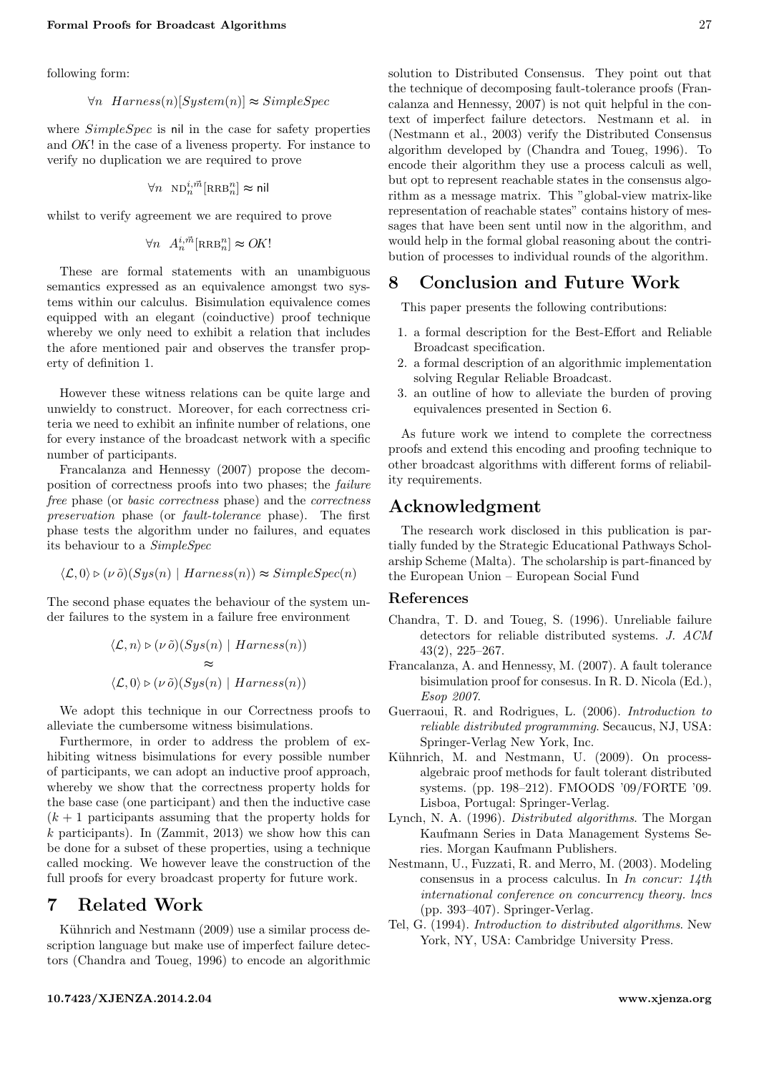following form:

 $\forall n \; \text{Harness}(n) \quad System(n) \approx SimpleSpec$ 

where  $SimpleSpec$  is nil in the case for safety properties and OK! in the case of a liveness property. For instance to verify no duplication we are required to prove

$$
\forall n \ \mathrm{ND}_n^{i,\vec{m}}[\mathrm{RRB}_n^n] \thickapprox \mathsf{nil}
$$

whilst to verify agreement we are required to prove

$$
\forall n \ \ A_n^{i, \vec{m}}[\text{RRB}_n^n] \approx OK!
$$

These are formal statements with an unambiguous semantics expressed as an equivalence amongst two systems within our calculus. Bisimulation equivalence comes equipped with an elegant (coinductive) proof technique whereby we only need to exhibit a relation that includes the afore mentioned pair and observes the transfer property of definition [1.](#page-2-2)

However these witness relations can be quite large and unwieldy to construct. Moreover, for each correctness criteria we need to exhibit an infinite number of relations, one for every instance of the broadcast network with a specific number of participants.

Francalanza and Hennessy [\(2007\)](#page-6-3) propose the decomposition of correctness proofs into two phases; the failure free phase (or basic correctness phase) and the correctness preservation phase (or fault-tolerance phase). The first phase tests the algorithm under no failures, and equates its behaviour to a SimpleSpec

$$
\langle \mathcal{L}, 0 \rangle \triangleright (\nu \tilde{\mathit{o}})(Sys(n) | Harness(n)) \approx SimpleSpec(n)
$$

The second phase equates the behaviour of the system under failures to the system in a failure free environment

$$
\langle \mathcal{L}, n \rangle \triangleright (\nu \tilde{o})(Sys(n) | Harness(n))
$$
  

$$
\approx
$$
  

$$
\langle \mathcal{L}, 0 \rangle \triangleright (\nu \tilde{o})(Sys(n) | Harness(n))
$$

We adopt this technique in our Correctness proofs to alleviate the cumbersome witness bisimulations.

Furthermore, in order to address the problem of exhibiting witness bisimulations for every possible number of participants, we can adopt an inductive proof approach, whereby we show that the correctness property holds for the base case (one participant) and then the inductive case  $(k + 1)$  participants assuming that the property holds for k participants). In  $(Zammit, 2013)$  $(Zammit, 2013)$  we show how this can be done for a subset of these properties, using a technique called mocking. We however leave the construction of the full proofs for every broadcast property for future work.

## <span id="page-6-6"></span>7 Related Work

Kühnrich and Nestmann [\(2009\)](#page-6-4) use a similar process description language but make use of imperfect failure detectors (Chandra and Toueg, [1996\)](#page-6-8) to encode an algorithmic solution to Distributed Consensus. They point out that the technique of decomposing fault-tolerance proofs (Francalanza and Hennessy, [2007\)](#page-6-3) is not quit helpful in the context of imperfect failure detectors. Nestmann et al. in (Nestmann et al., [2003\)](#page-6-5) verify the Distributed Consensus algorithm developed by (Chandra and Toueg, [1996\)](#page-6-8). To encode their algorithm they use a process calculi as well, but opt to represent reachable states in the consensus algorithm as a message matrix. This "global-view matrix-like representation of reachable states" contains history of messages that have been sent until now in the algorithm, and would help in the formal global reasoning about the contribution of processes to individual rounds of the algorithm.

## <span id="page-6-7"></span>8 Conclusion and Future Work

This paper presents the following contributions:

- 1. a formal description for the Best-Effort and Reliable Broadcast specification.
- 2. a formal description of an algorithmic implementation solving Regular Reliable Broadcast.
- 3. an outline of how to alleviate the burden of proving equivalences presented in Section [6.](#page-5-0)

As future work we intend to complete the correctness proofs and extend this encoding and proofing technique to other broadcast algorithms with different forms of reliability requirements.

## Acknowledgment

The research work disclosed in this publication is partially funded by the Strategic Educational Pathways Scholarship Scheme (Malta). The scholarship is part-financed by the European Union – European Social Fund

#### References

- <span id="page-6-8"></span>Chandra, T. D. and Toueg, S. (1996). Unreliable failure detectors for reliable distributed systems. J. ACM 43(2), 225–267.
- <span id="page-6-3"></span>Francalanza, A. and Hennessy, M. (2007). A fault tolerance bisimulation proof for consesus. In R. D. Nicola (Ed.), Esop 2007.
- <span id="page-6-2"></span>Guerraoui, R. and Rodrigues, L. (2006). Introduction to reliable distributed programming. Secaucus, NJ, USA: Springer-Verlag New York, Inc.
- <span id="page-6-4"></span>Kühnrich, M. and Nestmann, U. (2009). On processalgebraic proof methods for fault tolerant distributed systems. (pp. 198–212). FMOODS '09/FORTE '09. Lisboa, Portugal: Springer-Verlag.
- <span id="page-6-1"></span>Lynch, N. A. (1996). Distributed algorithms. The Morgan Kaufmann Series in Data Management Systems Series. Morgan Kaufmann Publishers.
- <span id="page-6-5"></span>Nestmann, U., Fuzzati, R. and Merro, M. (2003). Modeling consensus in a process calculus. In In concur: 14th international conference on concurrency theory. lncs (pp. 393–407). Springer-Verlag.
- <span id="page-6-0"></span>Tel, G. (1994). Introduction to distributed algorithms. New York, NY, USA: Cambridge University Press.